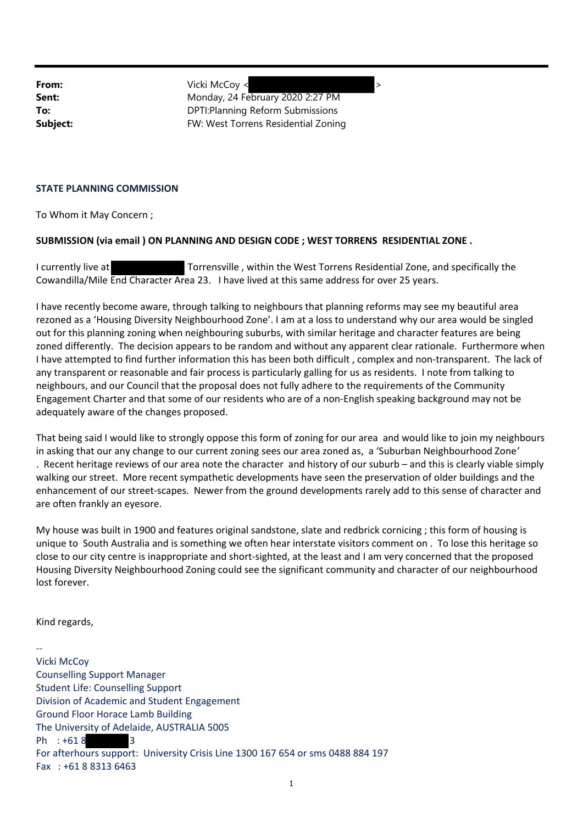**From:**  $Vicki$  McCoy <  $\rightarrow$ **Sent:** Monday, 24 February 2020 2:27 PM **To:** DPTI:Planning Reform Submissions **Subject:** FW: West Torrens Residential Zoning

## **STATE PLANNING COMMISSION**

To Whom it May Concern ;

## **SUBMISSION (via email ) ON PLANNING AND DESIGN CODE ; WEST TORRENS RESIDENTIAL ZONE .**

I currently live at Torrensville , within the West Torrens Residential Zone, and specifically the Cowandilla/Mile End Character Area 23. I have lived at this same address for over 25 years.

I have recently become aware, through talking to neighbours that planning reforms may see my beautiful area rezoned as a 'Housing Diversity Neighbourhood Zone'. I am at a loss to understand why our area would be singled out for this planning zoning when neighbouring suburbs, with similar heritage and character features are being zoned differently. The decision appears to be random and without any apparent clear rationale. Furthermore when I have attempted to find further information this has been both difficult , complex and non‐transparent. The lack of any transparent or reasonable and fair process is particularly galling for us as residents. I note from talking to neighbours, and our Council that the proposal does not fully adhere to the requirements of the Community Engagement Charter and that some of our residents who are of a non‐English speaking background may not be adequately aware of the changes proposed.

That being said I would like to strongly oppose this form of zoning for our area and would like to join my neighbours in asking that our any change to our current zoning sees our area zoned as, a 'Suburban Neighbourhood Zone*'* . Recent heritage reviews of our area note the character and history of our suburb – and this is clearly viable simply walking our street. More recent sympathetic developments have seen the preservation of older buildings and the enhancement of our street‐scapes. Newer from the ground developments rarely add to this sense of character and are often frankly an eyesore.

My house was built in 1900 and features original sandstone, slate and redbrick cornicing ; this form of housing is unique to South Australia and is something we often hear interstate visitors comment on . To lose this heritage so close to our city centre is inappropriate and short‐sighted, at the least and I am very concerned that the proposed Housing Diversity Neighbourhood Zoning could see the significant community and character of our neighbourhood lost forever.

Kind regards,

‐‐ Vicki McCoy Counselling Support Manager Student Life: Counselling Support Division of Academic and Student Engagement Ground Floor Horace Lamb Building The University of Adelaide, AUSTRALIA 5005 Ph : +61 8 3 For afterhours support: University Crisis Line 1300 167 654 or sms 0488 884 197 Fax : +61 8 8313 6463